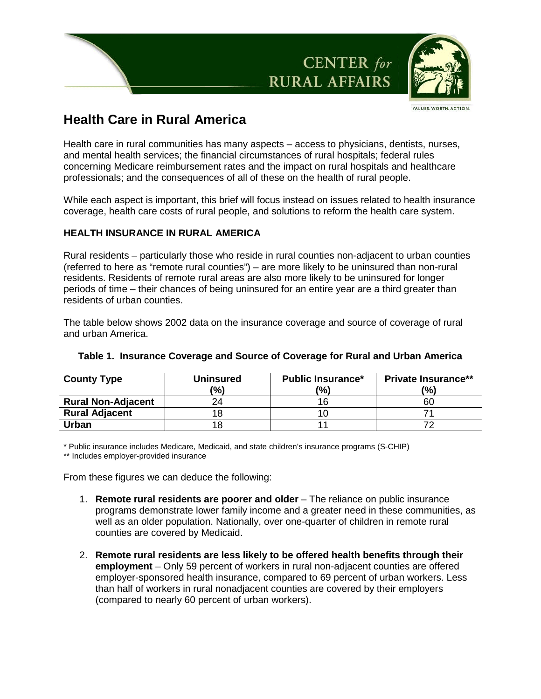

VALUES. WORTH. ACTION

# **Health Care in Rural America**

Health care in rural communities has many aspects – access to physicians, dentists, nurses, and mental health services; the financial circumstances of rural hospitals; federal rules concerning Medicare reimbursement rates and the impact on rural hospitals and healthcare professionals; and the consequences of all of these on the health of rural people.

While each aspect is important, this brief will focus instead on issues related to health insurance coverage, health care costs of rural people, and solutions to reform the health care system.

# **HEALTH INSURANCE IN RURAL AMERICA**

Rural residents – particularly those who reside in rural counties non-adjacent to urban counties (referred to here as "remote rural counties") – are more likely to be uninsured than non-rural residents. Residents of remote rural areas are also more likely to be uninsured for longer periods of time – their chances of being uninsured for an entire year are a third greater than residents of urban counties.

The table below shows 2002 data on the insurance coverage and source of coverage of rural and urban America.

| <b>County Type</b>        | <b>Uninsured</b> | <b>Public Insurance*</b> | <b>Private Insurance**</b> |
|---------------------------|------------------|--------------------------|----------------------------|
|                           | $\frac{10}{6}$   | (%)                      | (%)                        |
| <b>Rural Non-Adjacent</b> |                  |                          | 60                         |
| <b>Rural Adjacent</b>     |                  |                          |                            |
| Urban                     | 18               |                          |                            |

## **Table 1. Insurance Coverage and Source of Coverage for Rural and Urban America**

\* Public insurance includes Medicare, Medicaid, and state children's insurance programs (S-CHIP)

\*\* Includes employer-provided insurance

From these figures we can deduce the following:

- 1. **Remote rural residents are poorer and older** The reliance on public insurance programs demonstrate lower family income and a greater need in these communities, as well as an older population. Nationally, over one-quarter of children in remote rural counties are covered by Medicaid.
- 2. **Remote rural residents are less likely to be offered health benefits through their employment** – Only 59 percent of workers in rural non-adjacent counties are offered employer-sponsored health insurance, compared to 69 percent of urban workers. Less than half of workers in rural nonadjacent counties are covered by their employers (compared to nearly 60 percent of urban workers).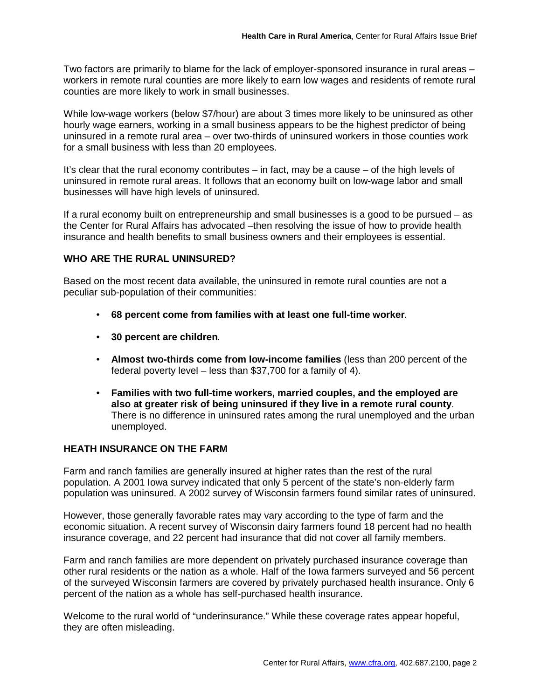Two factors are primarily to blame for the lack of employer-sponsored insurance in rural areas – workers in remote rural counties are more likely to earn low wages and residents of remote rural counties are more likely to work in small businesses.

While low-wage workers (below \$7/hour) are about 3 times more likely to be uninsured as other hourly wage earners, working in a small business appears to be the highest predictor of being uninsured in a remote rural area – over two-thirds of uninsured workers in those counties work for a small business with less than 20 employees.

It's clear that the rural economy contributes – in fact, may be a cause – of the high levels of uninsured in remote rural areas. It follows that an economy built on low-wage labor and small businesses will have high levels of uninsured.

If a rural economy built on entrepreneurship and small businesses is a good to be pursued – as the Center for Rural Affairs has advocated –then resolving the issue of how to provide health insurance and health benefits to small business owners and their employees is essential.

## **WHO ARE THE RURAL UNINSURED?**

Based on the most recent data available, the uninsured in remote rural counties are not a peculiar sub-population of their communities:

- **68 percent come from families with at least one full-time worker**.
- **30 percent are children**.
- **Almost two-thirds come from low-income families** (less than 200 percent of the federal poverty level – less than \$37,700 for a family of 4).
- **Families with two full-time workers, married couples, and the employed are also at greater risk of being uninsured if they live in a remote rural county**. There is no difference in uninsured rates among the rural unemployed and the urban unemployed.

# **HEATH INSURANCE ON THE FARM**

Farm and ranch families are generally insured at higher rates than the rest of the rural population. A 2001 Iowa survey indicated that only 5 percent of the state's non-elderly farm population was uninsured. A 2002 survey of Wisconsin farmers found similar rates of uninsured.

However, those generally favorable rates may vary according to the type of farm and the economic situation. A recent survey of Wisconsin dairy farmers found 18 percent had no health insurance coverage, and 22 percent had insurance that did not cover all family members.

Farm and ranch families are more dependent on privately purchased insurance coverage than other rural residents or the nation as a whole. Half of the Iowa farmers surveyed and 56 percent of the surveyed Wisconsin farmers are covered by privately purchased health insurance. Only 6 percent of the nation as a whole has self-purchased health insurance.

Welcome to the rural world of "underinsurance." While these coverage rates appear hopeful, they are often misleading.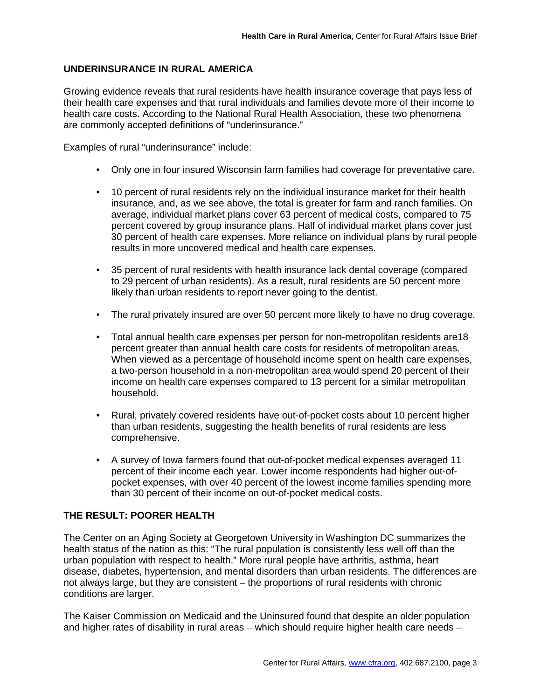## **UNDERINSURANCE IN RURAL AMERICA**

Growing evidence reveals that rural residents have health insurance coverage that pays less of their health care expenses and that rural individuals and families devote more of their income to health care costs. According to the National Rural Health Association, these two phenomena are commonly accepted definitions of "underinsurance."

Examples of rural "underinsurance" include:

- Only one in four insured Wisconsin farm families had coverage for preventative care.
- 10 percent of rural residents rely on the individual insurance market for their health insurance, and, as we see above, the total is greater for farm and ranch families. On average, individual market plans cover 63 percent of medical costs, compared to 75 percent covered by group insurance plans. Half of individual market plans cover just 30 percent of health care expenses. More reliance on individual plans by rural people results in more uncovered medical and health care expenses.
- 35 percent of rural residents with health insurance lack dental coverage (compared to 29 percent of urban residents). As a result, rural residents are 50 percent more likely than urban residents to report never going to the dentist.
- The rural privately insured are over 50 percent more likely to have no drug coverage.
- Total annual health care expenses per person for non-metropolitan residents are18 percent greater than annual health care costs for residents of metropolitan areas. When viewed as a percentage of household income spent on health care expenses, a two-person household in a non-metropolitan area would spend 20 percent of their income on health care expenses compared to 13 percent for a similar metropolitan household.
- Rural, privately covered residents have out-of-pocket costs about 10 percent higher than urban residents, suggesting the health benefits of rural residents are less comprehensive.
- A survey of Iowa farmers found that out-of-pocket medical expenses averaged 11 percent of their income each year. Lower income respondents had higher out-ofpocket expenses, with over 40 percent of the lowest income families spending more than 30 percent of their income on out-of-pocket medical costs.

## **THE RESULT: POORER HEALTH**

The Center on an Aging Society at Georgetown University in Washington DC summarizes the health status of the nation as this: "The rural population is consistently less well off than the urban population with respect to health." More rural people have arthritis, asthma, heart disease, diabetes, hypertension, and mental disorders than urban residents. The differences are not always large, but they are consistent – the proportions of rural residents with chronic conditions are larger.

The Kaiser Commission on Medicaid and the Uninsured found that despite an older population and higher rates of disability in rural areas – which should require higher health care needs –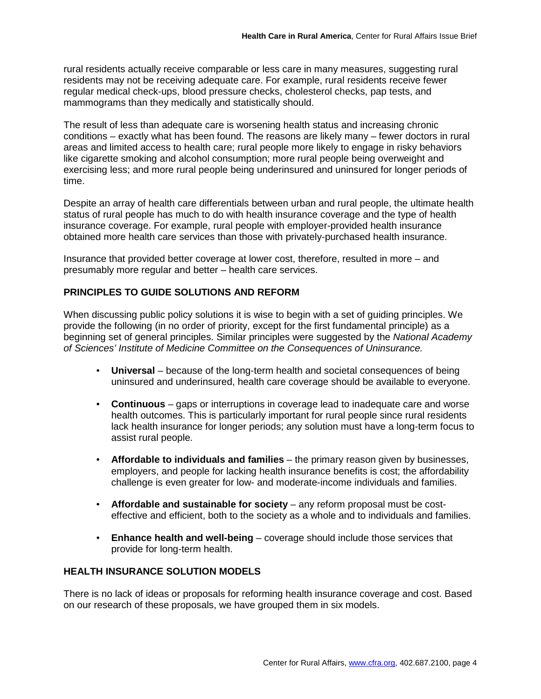rural residents actually receive comparable or less care in many measures, suggesting rural residents may not be receiving adequate care. For example, rural residents receive fewer regular medical check-ups, blood pressure checks, cholesterol checks, pap tests, and mammograms than they medically and statistically should.

The result of less than adequate care is worsening health status and increasing chronic conditions – exactly what has been found. The reasons are likely many – fewer doctors in rural areas and limited access to health care; rural people more likely to engage in risky behaviors like cigarette smoking and alcohol consumption; more rural people being overweight and exercising less; and more rural people being underinsured and uninsured for longer periods of time.

Despite an array of health care differentials between urban and rural people, the ultimate health status of rural people has much to do with health insurance coverage and the type of health insurance coverage. For example, rural people with employer-provided health insurance obtained more health care services than those with privately-purchased health insurance.

Insurance that provided better coverage at lower cost, therefore, resulted in more – and presumably more regular and better – health care services.

# **PRINCIPLES TO GUIDE SOLUTIONS AND REFORM**

When discussing public policy solutions it is wise to begin with a set of guiding principles. We provide the following (in no order of priority, except for the first fundamental principle) as a beginning set of general principles. Similar principles were suggested by the National Academy of Sciences' Institute of Medicine Committee on the Consequences of Uninsurance.

- **Universal** because of the long-term health and societal consequences of being uninsured and underinsured, health care coverage should be available to everyone.
- **Continuous**  gaps or interruptions in coverage lead to inadequate care and worse health outcomes. This is particularly important for rural people since rural residents lack health insurance for longer periods; any solution must have a long-term focus to assist rural people.
- **Affordable to individuals and families**  the primary reason given by businesses, employers, and people for lacking health insurance benefits is cost; the affordability challenge is even greater for low- and moderate-income individuals and families.
- Affordable and sustainable for society any reform proposal must be costeffective and efficient, both to the society as a whole and to individuals and families.
- **Enhance health and well-being** coverage should include those services that provide for long-term health.

## **HEALTH INSURANCE SOLUTION MODELS**

There is no lack of ideas or proposals for reforming health insurance coverage and cost. Based on our research of these proposals, we have grouped them in six models.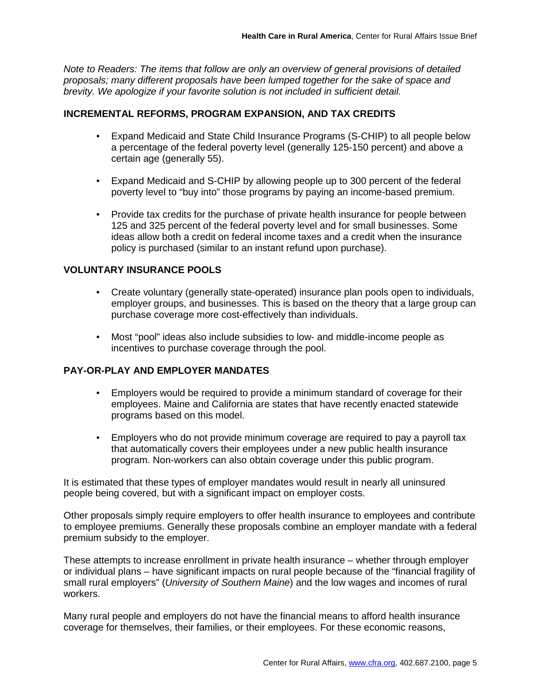Note to Readers: The items that follow are only an overview of general provisions of detailed proposals; many different proposals have been lumped together for the sake of space and brevity. We apologize if your favorite solution is not included in sufficient detail.

#### **INCREMENTAL REFORMS, PROGRAM EXPANSION, AND TAX CREDITS**

- Expand Medicaid and State Child Insurance Programs (S-CHIP) to all people below a percentage of the federal poverty level (generally 125-150 percent) and above a certain age (generally 55).
- Expand Medicaid and S-CHIP by allowing people up to 300 percent of the federal poverty level to "buy into" those programs by paying an income-based premium.
- Provide tax credits for the purchase of private health insurance for people between 125 and 325 percent of the federal poverty level and for small businesses. Some ideas allow both a credit on federal income taxes and a credit when the insurance policy is purchased (similar to an instant refund upon purchase).

#### **VOLUNTARY INSURANCE POOLS**

- Create voluntary (generally state-operated) insurance plan pools open to individuals, employer groups, and businesses. This is based on the theory that a large group can purchase coverage more cost-effectively than individuals.
- Most "pool" ideas also include subsidies to low- and middle-income people as incentives to purchase coverage through the pool.

# **PAY-OR-PLAY AND EMPLOYER MANDATES**

- Employers would be required to provide a minimum standard of coverage for their employees. Maine and California are states that have recently enacted statewide programs based on this model.
- Employers who do not provide minimum coverage are required to pay a payroll tax that automatically covers their employees under a new public health insurance program. Non-workers can also obtain coverage under this public program.

It is estimated that these types of employer mandates would result in nearly all uninsured people being covered, but with a significant impact on employer costs.

Other proposals simply require employers to offer health insurance to employees and contribute to employee premiums. Generally these proposals combine an employer mandate with a federal premium subsidy to the employer.

These attempts to increase enrollment in private health insurance – whether through employer or individual plans – have significant impacts on rural people because of the "financial fragility of small rural employers" (University of Southern Maine) and the low wages and incomes of rural workers.

Many rural people and employers do not have the financial means to afford health insurance coverage for themselves, their families, or their employees. For these economic reasons,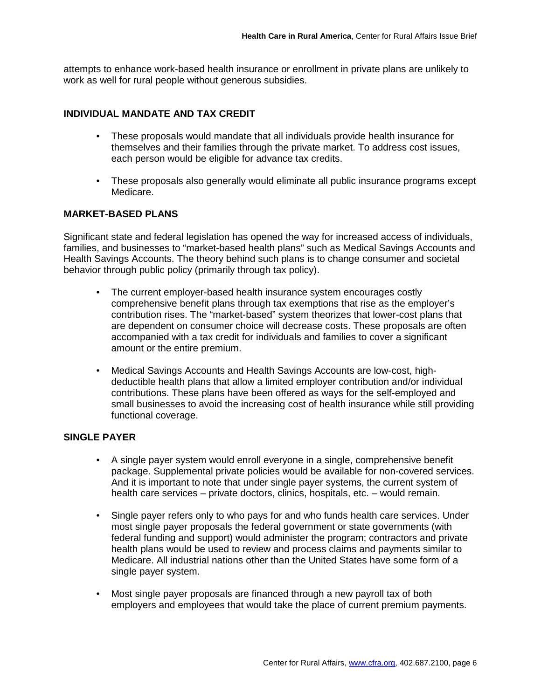attempts to enhance work-based health insurance or enrollment in private plans are unlikely to work as well for rural people without generous subsidies.

#### **INDIVIDUAL MANDATE AND TAX CREDIT**

- These proposals would mandate that all individuals provide health insurance for themselves and their families through the private market. To address cost issues, each person would be eligible for advance tax credits.
- These proposals also generally would eliminate all public insurance programs except Medicare.

#### **MARKET-BASED PLANS**

Significant state and federal legislation has opened the way for increased access of individuals, families, and businesses to "market-based health plans" such as Medical Savings Accounts and Health Savings Accounts. The theory behind such plans is to change consumer and societal behavior through public policy (primarily through tax policy).

- The current employer-based health insurance system encourages costly comprehensive benefit plans through tax exemptions that rise as the employer's contribution rises. The "market-based" system theorizes that lower-cost plans that are dependent on consumer choice will decrease costs. These proposals are often accompanied with a tax credit for individuals and families to cover a significant amount or the entire premium.
- Medical Savings Accounts and Health Savings Accounts are low-cost, highdeductible health plans that allow a limited employer contribution and/or individual contributions. These plans have been offered as ways for the self-employed and small businesses to avoid the increasing cost of health insurance while still providing functional coverage.

#### **SINGLE PAYER**

- A single payer system would enroll everyone in a single, comprehensive benefit package. Supplemental private policies would be available for non-covered services. And it is important to note that under single payer systems, the current system of health care services – private doctors, clinics, hospitals, etc. – would remain.
- Single payer refers only to who pays for and who funds health care services. Under most single payer proposals the federal government or state governments (with federal funding and support) would administer the program; contractors and private health plans would be used to review and process claims and payments similar to Medicare. All industrial nations other than the United States have some form of a single payer system.
- Most single payer proposals are financed through a new payroll tax of both employers and employees that would take the place of current premium payments.